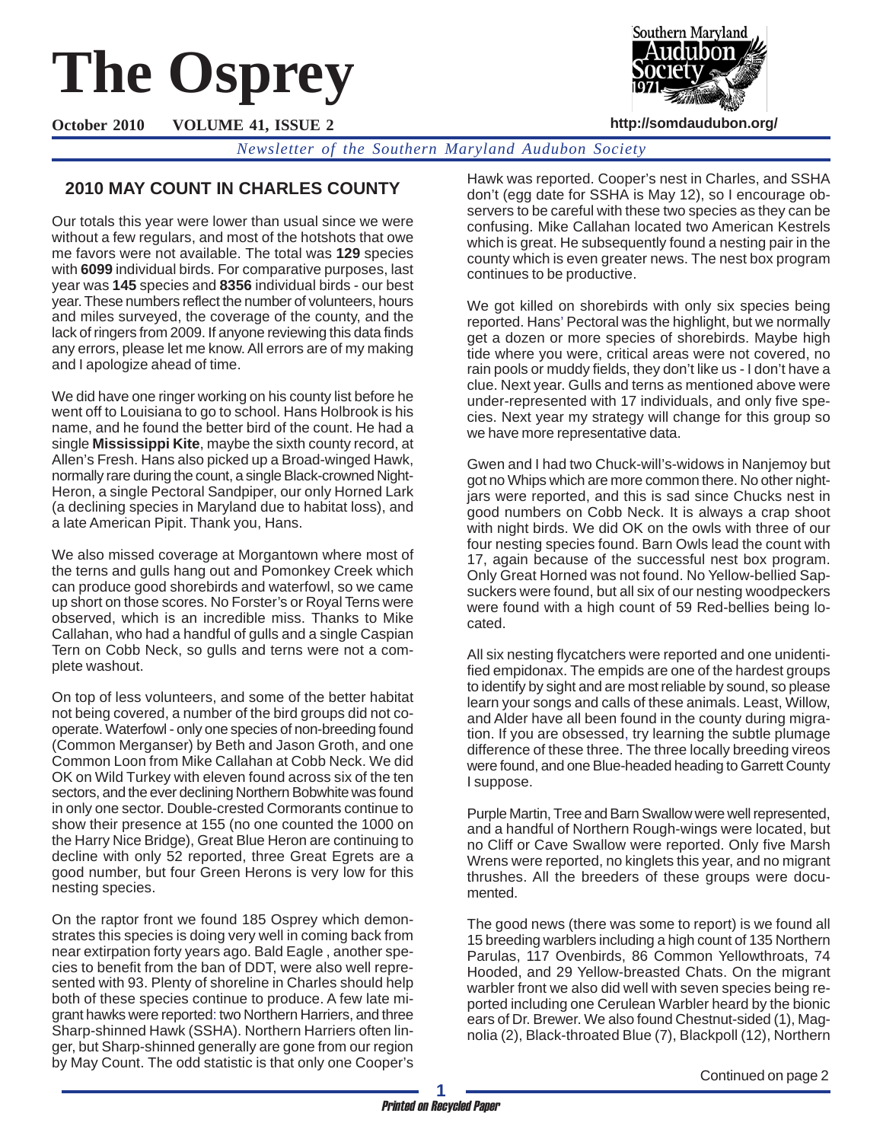# **The Osprey**

**http://somdaudubon.org/**

**October 2010 VOLUME 41, ISSUE 2**

*Newsletter of the Southern Maryland Audubon Society*

# **2010 MAY COUNT IN CHARLES COUNTY**

Our totals this year were lower than usual since we were without a few regulars, and most of the hotshots that owe me favors were not available. The total was **129** species with **6099** individual birds. For comparative purposes, last year was **145** species and **8356** individual birds - our best year. These numbers reflect the number of volunteers, hours and miles surveyed, the coverage of the county, and the lack of ringers from 2009. If anyone reviewing this data finds any errors, please let me know. All errors are of my making and I apologize ahead of time.

We did have one ringer working on his county list before he went off to Louisiana to go to school. Hans Holbrook is his name, and he found the better bird of the count. He had a single **Mississippi Kite**, maybe the sixth county record, at Allen's Fresh. Hans also picked up a Broad-winged Hawk, normally rare during the count, a single Black-crowned Night-Heron, a single Pectoral Sandpiper, our only Horned Lark (a declining species in Maryland due to habitat loss), and a late American Pipit. Thank you, Hans.

We also missed coverage at Morgantown where most of the terns and gulls hang out and Pomonkey Creek which can produce good shorebirds and waterfowl, so we came up short on those scores. No Forster's or Royal Terns were observed, which is an incredible miss. Thanks to Mike Callahan, who had a handful of gulls and a single Caspian Tern on Cobb Neck, so gulls and terns were not a complete washout.

On top of less volunteers, and some of the better habitat not being covered, a number of the bird groups did not cooperate. Waterfowl - only one species of non-breeding found (Common Merganser) by Beth and Jason Groth, and one Common Loon from Mike Callahan at Cobb Neck. We did OK on Wild Turkey with eleven found across six of the ten sectors, and the ever declining Northern Bobwhite was found in only one sector. Double-crested Cormorants continue to show their presence at 155 (no one counted the 1000 on the Harry Nice Bridge), Great Blue Heron are continuing to decline with only 52 reported, three Great Egrets are a good number, but four Green Herons is very low for this nesting species.

On the raptor front we found 185 Osprey which demonstrates this species is doing very well in coming back from near extirpation forty years ago. Bald Eagle , another species to benefit from the ban of DDT, were also well represented with 93. Plenty of shoreline in Charles should help both of these species continue to produce. A few late migrant hawks were reported: two Northern Harriers, and three Sharp-shinned Hawk (SSHA). Northern Harriers often linger, but Sharp-shinned generally are gone from our region by May Count. The odd statistic is that only one Cooper's Hawk was reported. Cooper's nest in Charles, and SSHA don't (egg date for SSHA is May 12), so I encourage observers to be careful with these two species as they can be confusing. Mike Callahan located two American Kestrels which is great. He subsequently found a nesting pair in the county which is even greater news. The nest box program continues to be productive.

Southern Marvland

We got killed on shorebirds with only six species being reported. Hans' Pectoral was the highlight, but we normally get a dozen or more species of shorebirds. Maybe high tide where you were, critical areas were not covered, no rain pools or muddy fields, they don't like us - I don't have a clue. Next year. Gulls and terns as mentioned above were under-represented with 17 individuals, and only five species. Next year my strategy will change for this group so we have more representative data.

Gwen and I had two Chuck-will's-widows in Nanjemoy but got no Whips which are more common there. No other nightjars were reported, and this is sad since Chucks nest in good numbers on Cobb Neck. It is always a crap shoot with night birds. We did OK on the owls with three of our four nesting species found. Barn Owls lead the count with 17, again because of the successful nest box program. Only Great Horned was not found. No Yellow-bellied Sapsuckers were found, but all six of our nesting woodpeckers were found with a high count of 59 Red-bellies being located.

All six nesting flycatchers were reported and one unidentified empidonax. The empids are one of the hardest groups to identify by sight and are most reliable by sound, so please learn your songs and calls of these animals. Least, Willow, and Alder have all been found in the county during migration. If you are obsessed, try learning the subtle plumage difference of these three. The three locally breeding vireos were found, and one Blue-headed heading to Garrett County I suppose.

Purple Martin, Tree and Barn Swallow were well represented, and a handful of Northern Rough-wings were located, but no Cliff or Cave Swallow were reported. Only five Marsh Wrens were reported, no kinglets this year, and no migrant thrushes. All the breeders of these groups were documented.

The good news (there was some to report) is we found all 15 breeding warblers including a high count of 135 Northern Parulas, 117 Ovenbirds, 86 Common Yellowthroats, 74 Hooded, and 29 Yellow-breasted Chats. On the migrant warbler front we also did well with seven species being reported including one Cerulean Warbler heard by the bionic ears of Dr. Brewer. We also found Chestnut-sided (1), Magnolia (2), Black-throated Blue (7), Blackpoll (12), Northern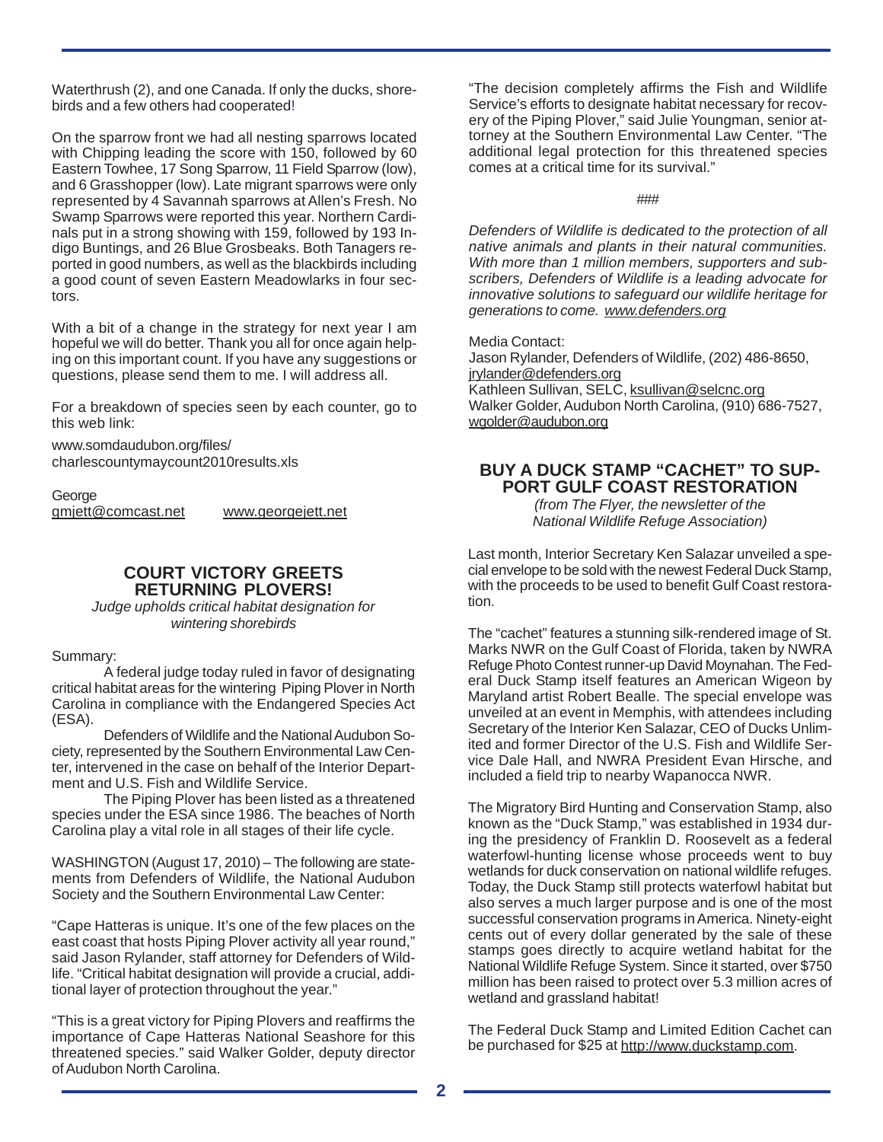Waterthrush (2), and one Canada. If only the ducks, shorebirds and a few others had cooperated!

On the sparrow front we had all nesting sparrows located with Chipping leading the score with 150, followed by 60 Eastern Towhee, 17 Song Sparrow, 11 Field Sparrow (low), and 6 Grasshopper (low). Late migrant sparrows were only represented by 4 Savannah sparrows at Allen's Fresh. No Swamp Sparrows were reported this year. Northern Cardinals put in a strong showing with 159, followed by 193 Indigo Buntings, and 26 Blue Grosbeaks. Both Tanagers reported in good numbers, as well as the blackbirds including a good count of seven Eastern Meadowlarks in four sectors.

With a bit of a change in the strategy for next year I am hopeful we will do better. Thank you all for once again helping on this important count. If you have any suggestions or questions, please send them to me. I will address all.

For a breakdown of species seen by each counter, go to this web link:

www.somdaudubon.org/files/ charlescountymaycount2010results.xls

George gmjett@comcast.net www.georgejett.net

## **COURT VICTORY GREETS RETURNING PLOVERS!**

*Judge upholds critical habitat designation for wintering shorebirds*

Summary:

A federal judge today ruled in favor of designating critical habitat areas for the wintering Piping Plover in North Carolina in compliance with the Endangered Species Act (ESA).

Defenders of Wildlife and the National Audubon Society, represented by the Southern Environmental Law Center, intervened in the case on behalf of the Interior Department and U.S. Fish and Wildlife Service.

The Piping Plover has been listed as a threatened species under the ESA since 1986. The beaches of North Carolina play a vital role in all stages of their life cycle.

WASHINGTON (August 17, 2010) – The following are statements from Defenders of Wildlife, the National Audubon Society and the Southern Environmental Law Center:

"Cape Hatteras is unique. It's one of the few places on the east coast that hosts Piping Plover activity all year round," said Jason Rylander, staff attorney for Defenders of Wildlife. "Critical habitat designation will provide a crucial, additional layer of protection throughout the year."

"This is a great victory for Piping Plovers and reaffirms the importance of Cape Hatteras National Seashore for this threatened species." said Walker Golder, deputy director of Audubon North Carolina.

"The decision completely affirms the Fish and Wildlife Service's efforts to designate habitat necessary for recovery of the Piping Plover," said Julie Youngman, senior attorney at the Southern Environmental Law Center. "The additional legal protection for this threatened species comes at a critical time for its survival."

###

*Defenders of Wildlife is dedicated to the protection of all native animals and plants in their natural communities. With more than 1 million members, supporters and subscribers, Defenders of Wildlife is a leading advocate for innovative solutions to safeguard our wildlife heritage for generations to come. www.defenders.org*

Media Contact:

Jason Rylander, Defenders of Wildlife, (202) 486-8650, jrylander@defenders.org Kathleen Sullivan, SELC, ksullivan@selcnc.org Walker Golder, Audubon North Carolina, (910) 686-7527, wgolder@audubon.org

# **BUY A DUCK STAMP "CACHET" TO SUP-PORT GULF COAST RESTORATION**

*(from The Flyer, the newsletter of the National Wildlife Refuge Association)*

Last month, Interior Secretary Ken Salazar unveiled a special envelope to be sold with the newest Federal Duck Stamp, with the proceeds to be used to benefit Gulf Coast restoration.

The "cachet" features a stunning silk-rendered image of St. Marks NWR on the Gulf Coast of Florida, taken by NWRA Refuge Photo Contest runner-up David Moynahan. The Federal Duck Stamp itself features an American Wigeon by Maryland artist Robert Bealle. The special envelope was unveiled at an event in Memphis, with attendees including Secretary of the Interior Ken Salazar, CEO of Ducks Unlimited and former Director of the U.S. Fish and Wildlife Service Dale Hall, and NWRA President Evan Hirsche, and included a field trip to nearby Wapanocca NWR.

The Migratory Bird Hunting and Conservation Stamp, also known as the "Duck Stamp," was established in 1934 during the presidency of Franklin D. Roosevelt as a federal waterfowl-hunting license whose proceeds went to buy wetlands for duck conservation on national wildlife refuges. Today, the Duck Stamp still protects waterfowl habitat but also serves a much larger purpose and is one of the most successful conservation programs in America. Ninety-eight cents out of every dollar generated by the sale of these stamps goes directly to acquire wetland habitat for the National Wildlife Refuge System. Since it started, over \$750 million has been raised to protect over 5.3 million acres of wetland and grassland habitat!

The Federal Duck Stamp and Limited Edition Cachet can be purchased for \$25 at http://www.duckstamp.com.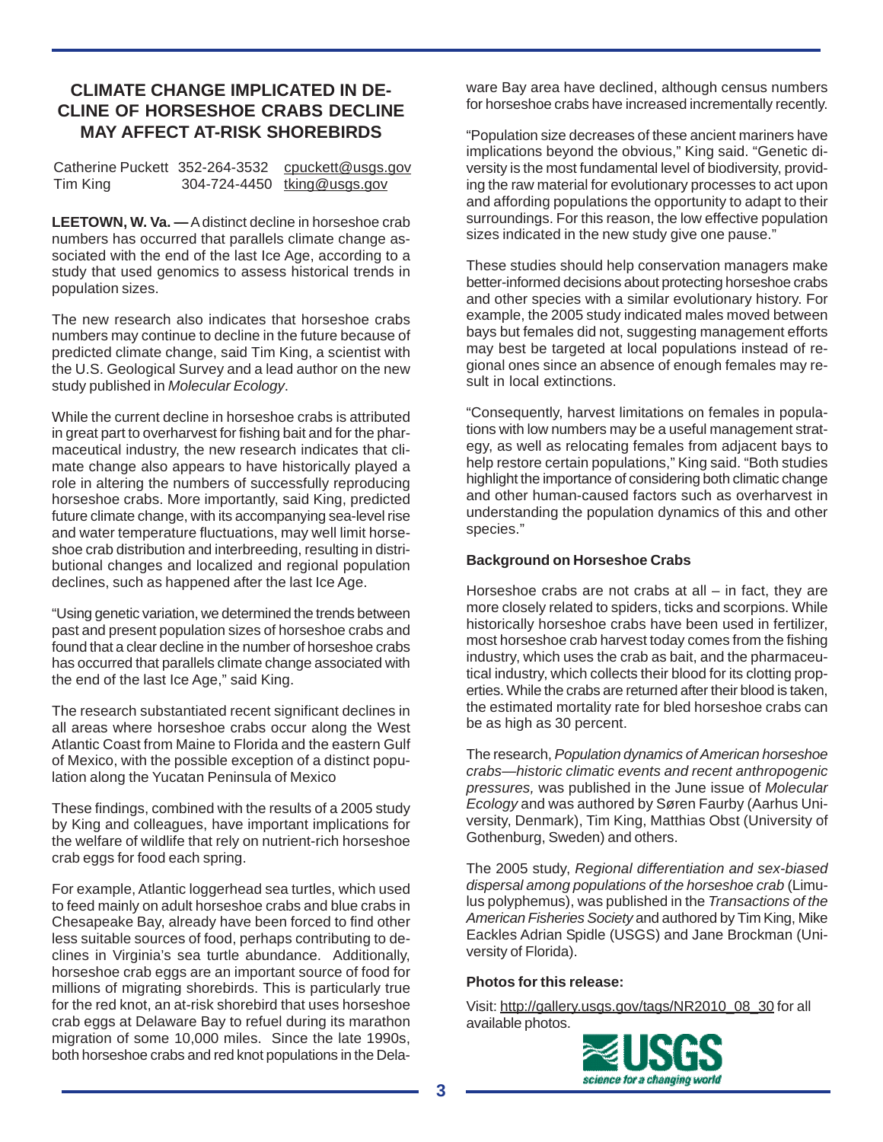# **CLIMATE CHANGE IMPLICATED IN DE-CLINE OF HORSESHOE CRABS DECLINE MAY AFFECT AT-RISK SHOREBIRDS**

| Catherine Puckett 352-264-3532 | cpuckett@usgs.gov           |
|--------------------------------|-----------------------------|
| Tim King                       | 304-724-4450 tking@usgs.gov |

**LEETOWN, W. Va. —** A distinct decline in horseshoe crab numbers has occurred that parallels climate change associated with the end of the last Ice Age, according to a study that used genomics to assess historical trends in population sizes.

The new research also indicates that horseshoe crabs numbers may continue to decline in the future because of predicted climate change, said Tim King, a scientist with the U.S. Geological Survey and a lead author on the new study published in *Molecular Ecology*.

While the current decline in horseshoe crabs is attributed in great part to overharvest for fishing bait and for the pharmaceutical industry, the new research indicates that climate change also appears to have historically played a role in altering the numbers of successfully reproducing horseshoe crabs. More importantly, said King, predicted future climate change, with its accompanying sea-level rise and water temperature fluctuations, may well limit horseshoe crab distribution and interbreeding, resulting in distributional changes and localized and regional population declines, such as happened after the last Ice Age.

"Using genetic variation, we determined the trends between past and present population sizes of horseshoe crabs and found that a clear decline in the number of horseshoe crabs has occurred that parallels climate change associated with the end of the last Ice Age," said King.

The research substantiated recent significant declines in all areas where horseshoe crabs occur along the West Atlantic Coast from Maine to Florida and the eastern Gulf of Mexico, with the possible exception of a distinct population along the Yucatan Peninsula of Mexico

These findings, combined with the results of a 2005 study by King and colleagues, have important implications for the welfare of wildlife that rely on nutrient-rich horseshoe crab eggs for food each spring.

For example, Atlantic loggerhead sea turtles, which used to feed mainly on adult horseshoe crabs and blue crabs in Chesapeake Bay, already have been forced to find other less suitable sources of food, perhaps contributing to declines in Virginia's sea turtle abundance. Additionally, horseshoe crab eggs are an important source of food for millions of migrating shorebirds. This is particularly true for the red knot, an at-risk shorebird that uses horseshoe crab eggs at Delaware Bay to refuel during its marathon migration of some 10,000 miles. Since the late 1990s, both horseshoe crabs and red knot populations in the Delaware Bay area have declined, although census numbers for horseshoe crabs have increased incrementally recently.

"Population size decreases of these ancient mariners have implications beyond the obvious," King said. "Genetic diversity is the most fundamental level of biodiversity, providing the raw material for evolutionary processes to act upon and affording populations the opportunity to adapt to their surroundings. For this reason, the low effective population sizes indicated in the new study give one pause."

These studies should help conservation managers make better-informed decisions about protecting horseshoe crabs and other species with a similar evolutionary history. For example, the 2005 study indicated males moved between bays but females did not, suggesting management efforts may best be targeted at local populations instead of regional ones since an absence of enough females may result in local extinctions.

"Consequently, harvest limitations on females in populations with low numbers may be a useful management strategy, as well as relocating females from adjacent bays to help restore certain populations," King said. "Both studies highlight the importance of considering both climatic change and other human-caused factors such as overharvest in understanding the population dynamics of this and other species."

## **Background on Horseshoe Crabs**

Horseshoe crabs are not crabs at all  $-$  in fact, they are more closely related to spiders, ticks and scorpions. While historically horseshoe crabs have been used in fertilizer, most horseshoe crab harvest today comes from the fishing industry, which uses the crab as bait, and the pharmaceutical industry, which collects their blood for its clotting properties. While the crabs are returned after their blood is taken, the estimated mortality rate for bled horseshoe crabs can be as high as 30 percent.

The research, *Population dynamics of American horseshoe crabs—historic climatic events and recent anthropogenic pressures,* was published in the June issue of *Molecular Ecology* and was authored by Søren Faurby (Aarhus University, Denmark), Tim King, Matthias Obst (University of Gothenburg, Sweden) and others.

The 2005 study, *Regional differentiation and sex-biased dispersal among populations of the horseshoe crab* (Limulus polyphemus), was published in the *Transactions of the American Fisheries Society* and authored by Tim King, Mike Eackles Adrian Spidle (USGS) and Jane Brockman (University of Florida).

## **Photos for this release:**

Visit: http://gallery.usgs.gov/tags/NR2010\_08\_30 for all available photos.

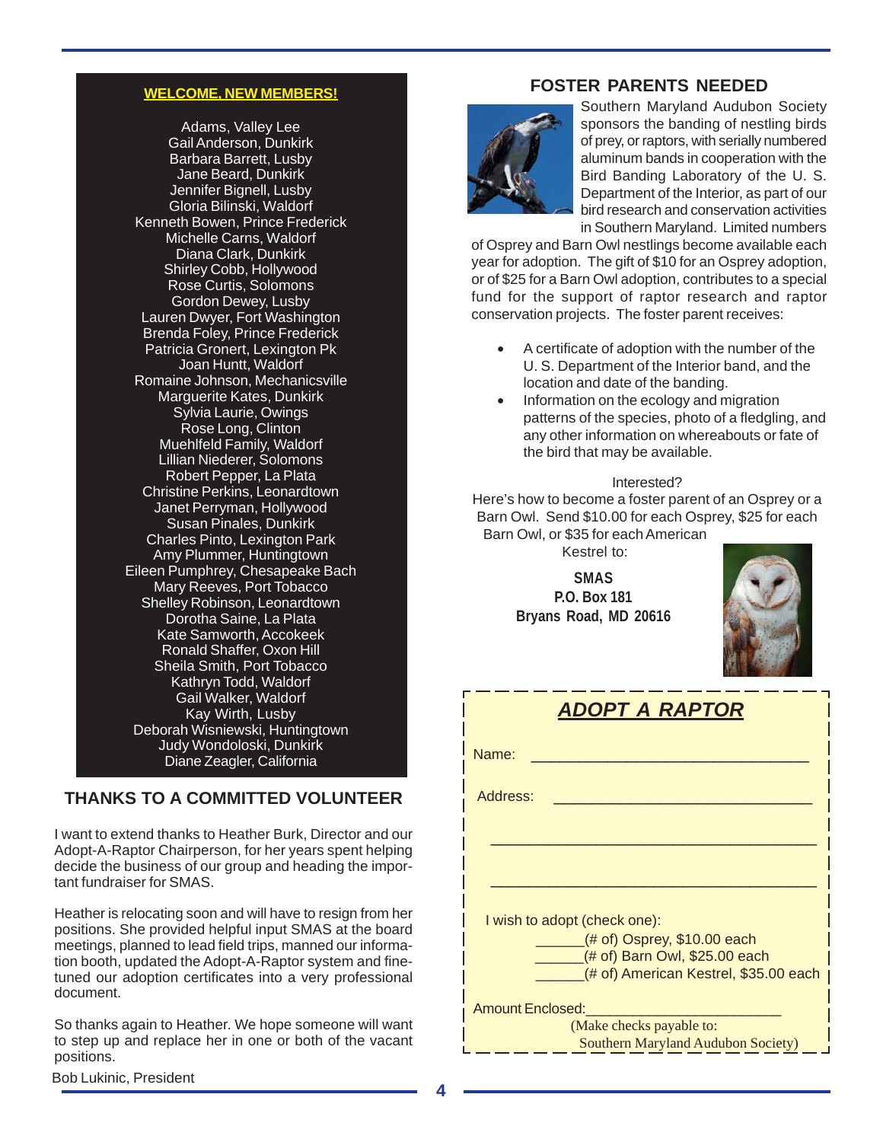# **WELCOME, NEW MEMBERS!**

Adams, Valley Lee Gail Anderson, Dunkirk Barbara Barrett, Lusby Jane Beard, Dunkirk Jennifer Bignell, Lusby Gloria Bilinski, Waldorf Kenneth Bowen, Prince Frederick Michelle Carns, Waldorf Diana Clark, Dunkirk Shirley Cobb, Hollywood Rose Curtis, Solomons Gordon Dewey, Lusby Lauren Dwyer, Fort Washington Brenda Foley, Prince Frederick Patricia Gronert, Lexington Pk Joan Huntt, Waldorf Romaine Johnson, Mechanicsville Marguerite Kates, Dunkirk Sylvia Laurie, Owings Rose Long, Clinton Muehlfeld Family, Waldorf Lillian Niederer, Solomons Robert Pepper, La Plata Christine Perkins, Leonardtown Janet Perryman, Hollywood Susan Pinales, Dunkirk Charles Pinto, Lexington Park Amy Plummer, Huntingtown Eileen Pumphrey, Chesapeake Bach Mary Reeves, Port Tobacco Shelley Robinson, Leonardtown Dorotha Saine, La Plata Kate Samworth, Accokeek Ronald Shaffer, Oxon Hill Sheila Smith, Port Tobacco Kathryn Todd, Waldorf Gail Walker, Waldorf Kay Wirth, Lusby Deborah Wisniewski, Huntingtown Judy Wondoloski, Dunkirk Diane Zeagler, California

# **THANKS TO A COMMITTED VOLUNTEER**

I want to extend thanks to Heather Burk, Director and our Adopt-A-Raptor Chairperson, for her years spent helping decide the business of our group and heading the important fundraiser for SMAS.

Heather is relocating soon and will have to resign from her positions. She provided helpful input SMAS at the board meetings, planned to lead field trips, manned our information booth, updated the Adopt-A-Raptor system and finetuned our adoption certificates into a very professional document.

So thanks again to Heather. We hope someone will want to step up and replace her in one or both of the vacant positions.

# **FOSTER PARENTS NEEDED**



Southern Maryland Audubon Society sponsors the banding of nestling birds of prey, or raptors, with serially numbered aluminum bands in cooperation with the Bird Banding Laboratory of the U. S. Department of the Interior, as part of our bird research and conservation activities in Southern Maryland. Limited numbers

of Osprey and Barn Owl nestlings become available each year for adoption. The gift of \$10 for an Osprey adoption, or of \$25 for a Barn Owl adoption, contributes to a special fund for the support of raptor research and raptor conservation projects. The foster parent receives:

- A certificate of adoption with the number of the U. S. Department of the Interior band, and the location and date of the banding.
- Information on the ecology and migration patterns of the species, photo of a fledgling, and any other information on whereabouts or fate of the bird that may be available.

#### Interested?

Here's how to become a foster parent of an Osprey or a Barn Owl. Send \$10.00 for each Osprey, \$25 for each Barn Owl, or \$35 for each American

Kestrel to:

**SMAS P.O. Box 181 Bryans Road, MD 20616**



| $\mathbf{v}$                          |  |  |  |  |
|---------------------------------------|--|--|--|--|
| Name:                                 |  |  |  |  |
|                                       |  |  |  |  |
| Address:                              |  |  |  |  |
|                                       |  |  |  |  |
|                                       |  |  |  |  |
|                                       |  |  |  |  |
| I wish to adopt (check one):          |  |  |  |  |
| $($ # of) Osprey, \$10.00 each        |  |  |  |  |
| (# of) Barn Owl, \$25.00 each         |  |  |  |  |
| (# of) American Kestrel, \$35.00 each |  |  |  |  |
| <b>Amount Enclosed:</b>               |  |  |  |  |
| (Make checks payable to:              |  |  |  |  |
| Southern Maryland Audubon Society)    |  |  |  |  |

*ADOPT A RAPTOR*

Bob Lukinic, President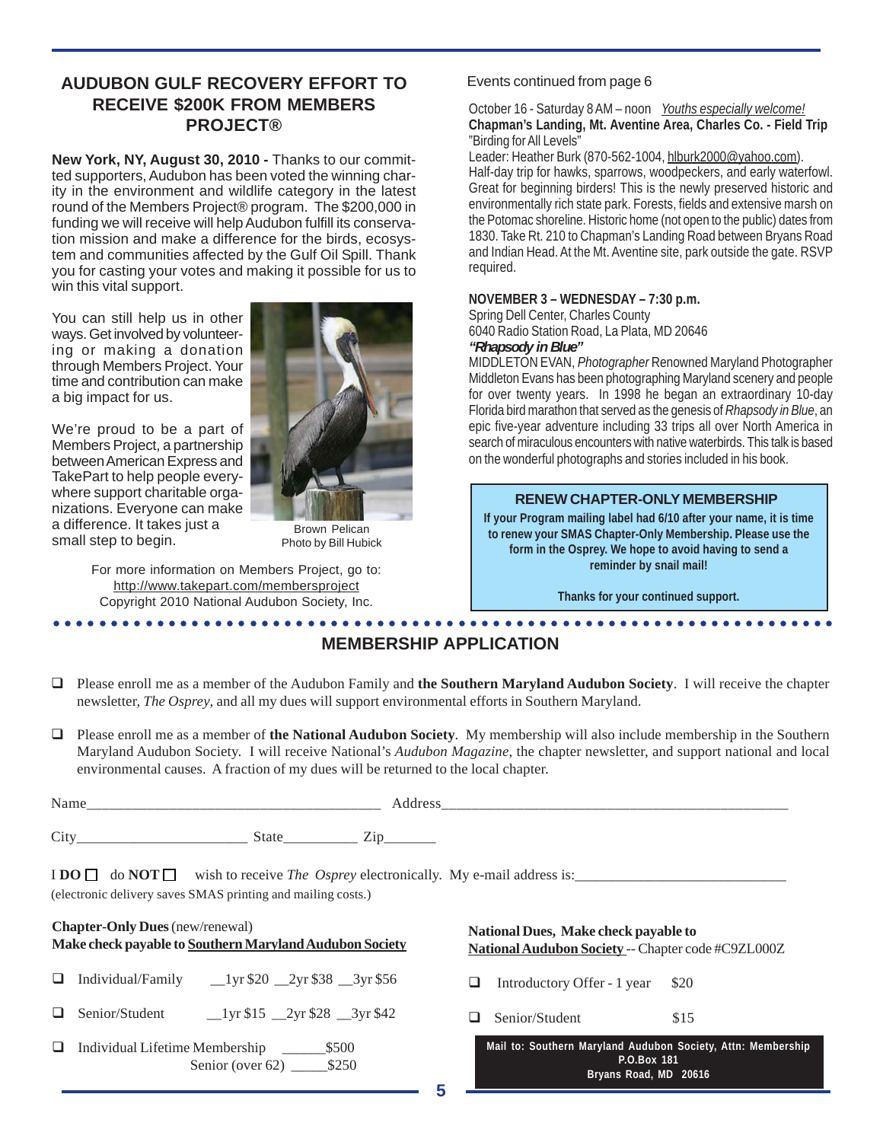# **AUDUBON GULF RECOVERY EFFORT TO RECEIVE \$200K FROM MEMBERS PROJECT®**

**New York, NY, August 30, 2010 -** Thanks to our committed supporters, Audubon has been voted the winning charity in the environment and wildlife category in the latest round of the Members Project® program. The \$200,000 in funding we will receive will help Audubon fulfill its conservation mission and make a difference for the birds, ecosystem and communities affected by the Gulf Oil Spill. Thank you for casting your votes and making it possible for us to win this vital support.

You can still help us in other ways. Get involved by volunteering or making a donation through Members Project. Your time and contribution can make a big impact for us.

We're proud to be a part of Members Project, a partnership between American Express and TakePart to help people everywhere support charitable organizations. Everyone can make a difference. It takes just a small step to begin.



Brown Pelican Photo by Bill Hubick

For more information on Members Project, go to: http://www.takepart.com/membersproject Copyright 2010 National Audubon Society, Inc.

## Events continued from page 6

#### October 16 - Saturday 8 AM – noon *Youths especially welcome!* **Chapman's Landing, Mt. Aventine Area, Charles Co. - Field Trip** "Birding for All Levels"

Leader: Heather Burk (870-562-1004, hlburk2000@vahoo.com).

Half-day trip for hawks, sparrows, woodpeckers, and early waterfowl. Great for beginning birders! This is the newly preserved historic and environmentally rich state park. Forests, fields and extensive marsh on the Potomac shoreline. Historic home (not open to the public) dates from 1830. Take Rt. 210 to Chapman's Landing Road between Bryans Road and Indian Head. At the Mt. Aventine site, park outside the gate. RSVP required.

#### **NOVEMBER 3 – WEDNESDAY – 7:30 p.m.**

Spring Dell Center, Charles County 6040 Radio Station Road, La Plata, MD 20646 *"Rhapsody in Blue"*

MIDDLETON EVAN, *Photographer* Renowned Maryland Photographer Middleton Evans has been photographing Maryland scenery and people for over twenty years. In 1998 he began an extraordinary 10-day Florida bird marathon that served as the genesis of *Rhapsody in Blue*, an epic five-year adventure including 33 trips all over North America in search of miraculous encounters with native waterbirds. This talk is based on the wonderful photographs and stories included in his book.

## **RENEW CHAPTER-ONLY MEMBERSHIP**

**If your Program mailing label had 6/10 after your name, it is time to renew your SMAS Chapter-Only Membership. Please use the form in the Osprey. We hope to avoid having to send a reminder by snail mail!**

**Thanks for your continued support.**

#### ○○○○○○○○○○○○○○○○○○○○○○○○○○○○○○○○○○○○○○○○○○○○ ○○○○○○○○○○○○○○○○○○○○○○○○ **MEMBERSHIP APPLICATION**

- Please enroll me as a member of the Audubon Family and **the Southern Maryland Audubon Society**. I will receive the chapter newsletter, *The Osprey*, and all my dues will support environmental efforts in Southern Maryland.
- Please enroll me as a member of **the National Audubon Society**. My membership will also include membership in the Southern Maryland Audubon Society. I will receive National's *Audubon Magazine*, the chapter newsletter, and support national and local environmental causes. A fraction of my dues will be returned to the local chapter.

| Name |                                                                                                                                                                   | <b>Address</b> |  |
|------|-------------------------------------------------------------------------------------------------------------------------------------------------------------------|----------------|--|
| City | State                                                                                                                                                             | $\angle 1D$    |  |
|      | I DO $\Box$ do NOT $\Box$ wish to receive <i>The Osprey</i> electronically. My e-mail address is:<br>(electronic delivery saves SMAS printing and mailing costs.) |                |  |

| <b>Chapter-Only Dues</b> (new/renewal)<br>Make check payable to Southern Maryland Audubon Society |                                                                                                                                                                                                                                                                                                                                                                                         | National Dues, Make check payable to<br>National Audubon Society -- Chapter code #C9ZL000Z           |      |  |
|---------------------------------------------------------------------------------------------------|-----------------------------------------------------------------------------------------------------------------------------------------------------------------------------------------------------------------------------------------------------------------------------------------------------------------------------------------------------------------------------------------|------------------------------------------------------------------------------------------------------|------|--|
| ப                                                                                                 | Individual/Family<br>$1 \text{yr}$ \$20 $\_\text{2yr}$ \$38 $\_\text{3yr}$ \$56                                                                                                                                                                                                                                                                                                         | Introductory Offer - 1 year \$20<br>ப                                                                |      |  |
|                                                                                                   | Senior/Student<br>$\frac{1}{\sqrt{5}}$ 15 $\frac{2}{\sqrt{5}}$ $\frac{2}{\sqrt{5}}$ $\frac{1}{\sqrt{5}}$ $\frac{1}{\sqrt{5}}$ $\frac{1}{\sqrt{5}}$ $\frac{1}{\sqrt{5}}$ $\frac{1}{\sqrt{5}}$ $\frac{1}{\sqrt{5}}$ $\frac{1}{\sqrt{5}}$ $\frac{1}{\sqrt{5}}$ $\frac{1}{\sqrt{5}}$ $\frac{1}{\sqrt{5}}$ $\frac{1}{\sqrt{5}}$ $\frac{1}{\sqrt{5}}$ $\frac{1}{\sqrt{5}}$ $\frac{1}{\sqrt{5$ | Senior/Student                                                                                       | \$15 |  |
| ப                                                                                                 | Senior (over 62) $$250$                                                                                                                                                                                                                                                                                                                                                                 | Mail to: Southern Maryland Audubon Society, Attn: Membership<br>P.O.Box 181<br>Bryans Road, MD 20616 |      |  |